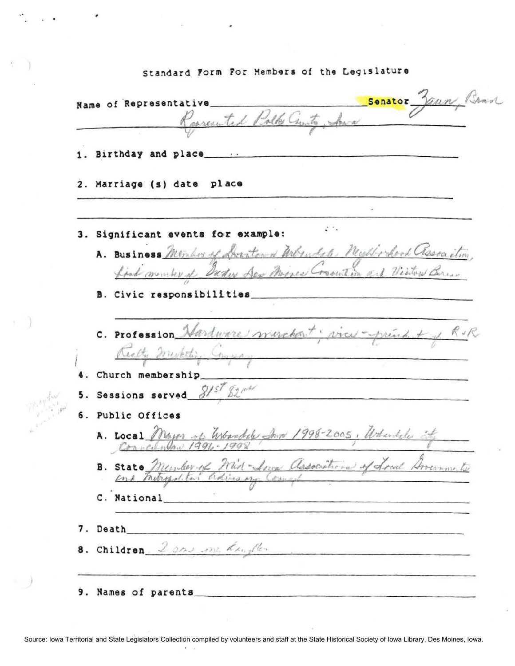|  |  |  | Standard Form For Members of the Legislature |
|--|--|--|----------------------------------------------|
|  |  |  |                                              |

Senator Jaun, Brad Name of Representative Respected Polk Curity, And 1. Birthday and place\_\_\_ 2. Marriage (s) date place  $\cdot$  . 3. Significant events for example: A. Business Member of Dorator & Websude Bushbook association find member it Bader Sex Mines Consultion and Visitors Berear B. Civic responsibilities C. Profession Hardware merchant; view-prend + 1 RvR Realty Merketing Congray 4. Church membership 5. Sessions served  $S/S^{\mathcal{T}}\mathbb{Z}^{n\mathcal{U}}$ 6. Public Offices A. Local Mayor of Whandels Ing 1998-2005, Whendels it B. State Member of Mid-Snow Associations of Local American to C. National 7. Death 8. Children, 2 ans me daughter 9. Names of parents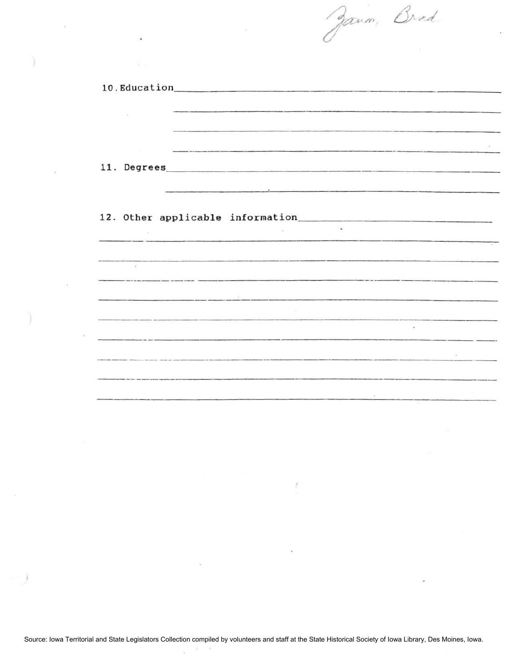$\mathcal{D}^{\prime}$ **10.** Education \_\_\_\_\_\_\_\_\_\_\_ \_  $\hat{\alpha}$ **11.** Degrees \_\_\_\_\_\_\_\_\_\_\_\_\_\_\_\_ \_\_\_  $\sim$ **12. Other applicable** information \_\_\_\_\_\_\_\_\_\_\_\_\_\_\_\_\_\_ \_  $\frac{1}{2}$  $\bar{\chi}$  $\frac{1}{\epsilon}$ - Vit -------------------------  $\sim$ and the company of the company ----------

Jann, Brad

 $\mathcal{L}$  $\mu$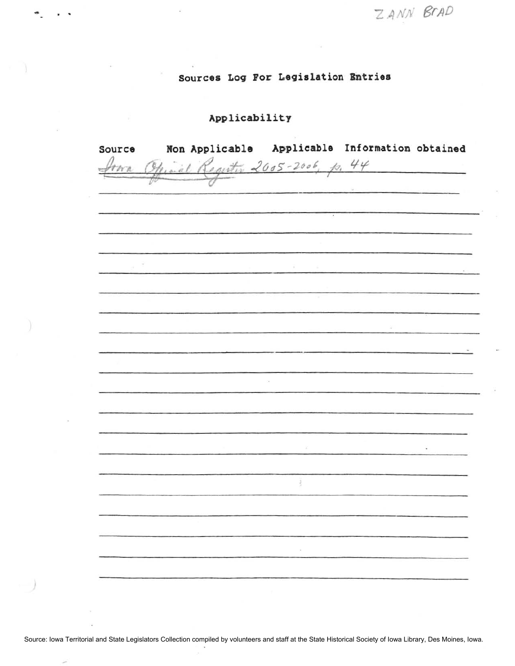ZANN BrAD

# Sources Log For Legislation Entries

## Applicability

\*. . .

| Source | Non Applicable Applicable Information obtained |           |  |
|--------|------------------------------------------------|-----------|--|
|        | Minal Regenter 2005-2006, p. 44                |           |  |
|        |                                                |           |  |
|        |                                                |           |  |
|        |                                                | $\bullet$ |  |
|        |                                                |           |  |
|        |                                                |           |  |
|        |                                                |           |  |
|        |                                                |           |  |
|        |                                                |           |  |
|        |                                                | v         |  |
|        |                                                |           |  |
|        |                                                |           |  |
|        |                                                |           |  |
|        |                                                |           |  |
|        |                                                |           |  |
|        |                                                |           |  |
|        |                                                |           |  |
|        |                                                |           |  |
|        |                                                |           |  |
|        |                                                | ×         |  |
|        |                                                |           |  |
|        |                                                |           |  |
|        |                                                |           |  |
|        |                                                |           |  |
|        |                                                |           |  |
|        |                                                |           |  |
|        |                                                |           |  |
|        |                                                |           |  |
|        |                                                |           |  |

Source: Iowa Territorial and State Legislators Collection compiled by volunteers and staff at the State Historical Society of Iowa Library, Des Moines, Iowa.